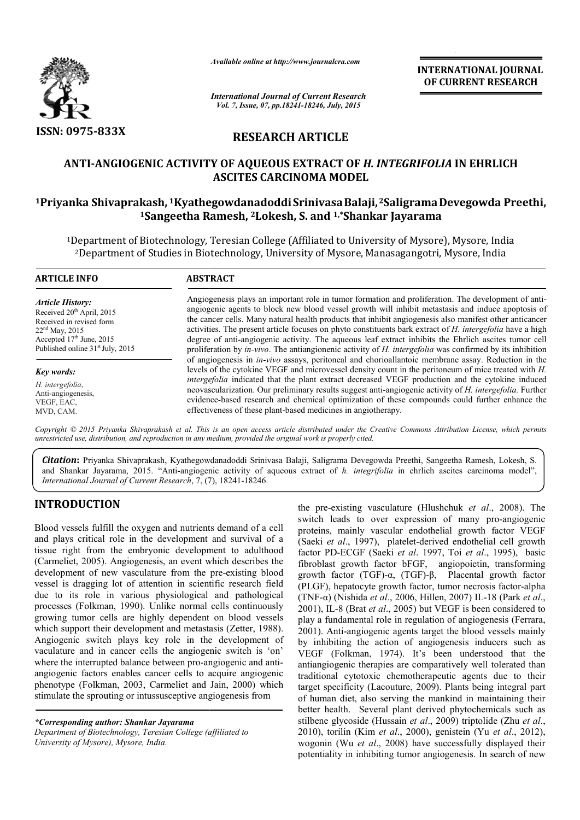

*Available online at http://www.journalcra.com*

INTERNATIONAL INTERNATIONAL JOURNAL OF CURRENT RESEARCH

*International Journal of Current Research Vol. 7, Issue, 07, pp.18241-18246, July, 2015*

# RESEARCH ARTICLE

## ANTI-ANGIOGENIC ACTIVITY OF AQUEOUS EXTRACT OF ANGIOGENIC *H. INTEGRIFOLIA H. INTEGRIFOLIA* IN EHRLICH ASCITES CARCINOMA MODEL

## <sup>1</sup>Priyanka Shivaprakash, <sup>1</sup>Kyathegowdanadoddi Srinivasa Balaji, <sup>2</sup>Saligrama Devegowda Preethi, <sup>1</sup>Sangeetha Ramesh, <sup>2</sup>Lokesh, S. and <sup>1,\*</sup>Shankar Jayarama

<sup>1</sup>Department of Biotechnology, Teresian College (Affiliated to University of Mysore), Mysore, India 2Department of Studies in Biotechnology, University of Mysore, Manasagangotri, Mysore, India

| <b>ARTICLE INFO</b>                                                                                                                                                                            | <b>ABSTRACT</b>                                                                                                                                                                                                                                                                                                                                                                                                                                                                                                                                                                                                                                                      |  |
|------------------------------------------------------------------------------------------------------------------------------------------------------------------------------------------------|----------------------------------------------------------------------------------------------------------------------------------------------------------------------------------------------------------------------------------------------------------------------------------------------------------------------------------------------------------------------------------------------------------------------------------------------------------------------------------------------------------------------------------------------------------------------------------------------------------------------------------------------------------------------|--|
| <b>Article History:</b><br>Received 20 <sup>th</sup> April, 2015<br>Received in revised form<br>$22nd$ May, 2015<br>Accepted $17th$ June, 2015<br>Published online 31 <sup>st</sup> July, 2015 | Angiogenesis plays an important role in tumor formation and proliferation. The development of anti-<br>angiogenic agents to block new blood vessel growth will inhibit metastasis and induce apoptosis of<br>the cancer cells. Many natural health products that inhibit angiogenesis also manifest other anticancer<br>activities. The present article focuses on phyto constituents bark extract of H. intergefolia have a high<br>degree of anti-angiogenic activity. The aqueous leaf extract inhibits the Ehrlich ascites tumor cell<br>proliferation by <i>in-vivo</i> . The antiangionenic activity of <i>H. intergefolia</i> was confirmed by its inhibition |  |
| Key words:                                                                                                                                                                                     | of angiogenesis in <i>in-vivo</i> assays, peritoneal and chorioallantoic membrane assay. Reduction in the<br>levels of the cytokine VEGF and microvessel density count in the peritoneum of mice treated with H.<br>intergefolia indicated that the plant extract decreased VEGF production and the cytokine induced<br>neovascularization. Our preliminary results suggest anti-angiogenic activity of H. intergefolia. Further<br>evidence-based research and chemical optimization of these compounds could further enhance the<br>effectiveness of these plant-based medicines in angiotherapy.                                                                  |  |
| H. intergefolia,<br>Anti-angiogenesis,<br>VEGF, EAC,<br>MVD, CAM.                                                                                                                              |                                                                                                                                                                                                                                                                                                                                                                                                                                                                                                                                                                                                                                                                      |  |

*Copyright © 2015 Priyanka Shivaprakash et al. This is an open access article distributed under the Creative Commons Att Attribution License, which permits unrestricted use, distribution, and reproduction in any medium, provided the original work is properly cited.*

Citation: Priyanka Shivaprakash, Kyathegowdanadoddi Srinivasa Balaji, Saligrama Devegowda Preethi, Sangeetha Ramesh, Lokesh, S. and Shankar Jayarama, 2015. "Anti-angiogenic activity of aqueous extract of h. integrifolia in ehrlich ascites carcinoma model", *International Journal of Current Research*, 7, (7), 18241-18246.

## INTRODUCTION

Blood vessels fulfill the oxygen and nutrients demand of a cell and plays critical role in the development and survival of a tissue right from the embryonic development to adulthood (Carmeliet, 2005). Angiogenesis, an event which describes the development of new vasculature from the pre-existing blood vessel is dragging lot of attention in scientific research field due to its role in various physiological and pathological processes (Folkman, 1990). Unlike normal cells continuously growing tumor cells are highly dependent on blood vessels which support their development and metastasis (Zetter, 1988). Angiogenic switch plays key role in the development of vaculature and in cancer cells the angiogenic switch is 'on' where the interrupted balance between pro-angiogenic and antiangiogenic factors enables cancer cells to acquire angiogenic phenotype (Folkman, 2003, Carmeliet and Jain, 2000) which stimulate the sprouting or intussusceptive angiogenesis from ghly dependent on blood vessels<br>ment and metastasis (Zetter, 1988).<br>key role in the development of<br>ells the angiogenic switch is 'on'<br>e between pro-angiogenic and anti-

*\*Corresponding author: Shankar Jayarama Department of Biotechnology, Teresian College (affiliated to University of Mysore), Mysore, India.*

the pre-existing vasculature *(Hlushchuk et al., 2008)*. The switch leads to over expression of many pro-angiogenic proteins, mainly vascular endothelial growth factor VEGF (Saeki et al., 1997), platelet-derived endothelial cell growth factor PD-ECGF (Saeki *et al*. 1997, Toi *et al*., 1995), basic fibroblast growth factor bFGF, angiopoietin, transforming growth factor (TGF)-α, (TGF) α, (TGF)-β, Placental growth factor (PLGF), hepatocyte growth factor, tumor necrosis factor-alpha (TNF-α) (Nishida *et al.*, 2006, Hillen, 2007) IL-18 (Park *et al.*, 2001), IL-8 (Brat *et al*., 2005) but VEGF is been considered to play a fundamental role in regulation of angiogenesis (Ferrara, 2001). Anti-angiogenic agents target the blood vessels mainly by inhibiting the action of angiogenesis inducers such as VEGF (Folkman, 1974). It's been understood that the antiangiogenic therapies are comparatively well tolerated than traditional cytotoxic chemotherapeutic agents due to their target specificity (Lacouture, 2009). Plants being integral part of human diet, also serving the mankind in maintaining their better health. Several plant derived phytochemicals such as of human diet, also serving the mankind in maintaining their<br>better health. Several plant derived phytochemicals such as<br>stilbene glycoside (Hussain *et al.*, 2009) triptolide (Zhu *et al.*, 2010), torilin (Kim *et al.*, 2000), genistein (Yu *et al.*, 2012), wogonin (Wu *et al*., 2008) have successfully displayed their potentiality in inhibiting tumor angiogenesis. In search of new angiogenic agents target the blood vessels mainly<br>ng the action of angiogenesis inducers such as<br>lkman, 1974). It's been understood that the<br>nic therapies are comparatively well tolerated than<br>cytotoxic chemotherapeutic ag **INTERNATIONAL JOURNAL OF CURRENT RESEARCH**<br>
OF CURRENT RESEARCH<br>
OF CURRENT RESEARCH<br>
The the state of the state of the state of the state of the state of the<br>
Lalajj, <sup>2</sup>Saligrama Devegowda Preethi,<br>
ankar Jayarama<br>
e,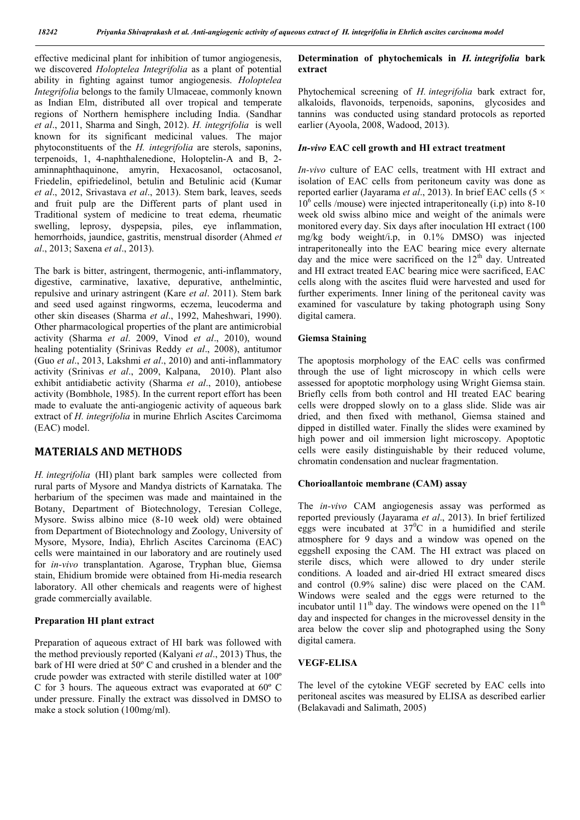effective medicinal plant for inhibition of tumor angiogenesis, we discovered *Holoptelea Integrifolia* as a plant of potential ability in fighting against tumor angiogenesis. *Holoptelea Integrifolia* belongs to the family Ulmaceae, commonly known as Indian Elm, distributed all over tropical and temperate regions of Northern hemisphere including India. (Sandhar *et al*., 2011, Sharma and Singh, 2012). *H. integrifolia* is well known for its significant medicinal values. The major phytoconstituents of the *H. integrifolia* are sterols, saponins, terpenoids, 1, 4-naphthalenedione, Holoptelin-A and B, 2 aminnaphthaquinone, amyrin, Hexacosanol, octacosanol, Friedelin, epifriedelinol, betulin and Betulinic acid (Kumar *et al*., 2012, Srivastava *et al*., 2013). Stem bark, leaves, seeds and fruit pulp are the Different parts of plant used in Traditional system of medicine to treat edema, rheumatic swelling, leprosy, dyspepsia, piles, eye inflammation, hemorrhoids, jaundice, gastritis, menstrual disorder (Ahmed *et al*., 2013; Saxena *et al*., 2013).

The bark is bitter, astringent, thermogenic, anti-inflammatory, digestive, carminative, laxative, depurative, anthelmintic, repulsive and urinary astringent (Kare *et al*. 2011). Stem bark and seed used against ringworms, eczema, leucoderma and other skin diseases (Sharma *et al*., 1992, Maheshwari, 1990). Other pharmacological properties of the plant are antimicrobial activity (Sharma *et al*. 2009, Vinod *et al*., 2010), wound healing potentiality (Srinivas Reddy *et al*., 2008), antitumor (Guo *et al*., 2013, Lakshmi *et al*., 2010) and anti-inflammatory activity (Srinivas *et al*., 2009, Kalpana, 2010). Plant also exhibit antidiabetic activity (Sharma *et al*., 2010), antiobese activity (Bombhole, 1985). In the current report effort has been made to evaluate the anti-angiogenic activity of aqueous bark extract of *H. integrifolia* in murine Ehrlich Ascites Carcimoma (EAC) model.

## MATERIALS AND METHODS

*H. integrifolia* (HI) plant bark samples were collected from rural parts of Mysore and Mandya districts of Karnataka. The herbarium of the specimen was made and maintained in the Botany, Department of Biotechnology, Teresian College, Mysore. Swiss albino mice (8-10 week old) were obtained from Department of Biotechnology and Zoology, University of Mysore, Mysore, India), Ehrlich Ascites Carcinoma (EAC) cells were maintained in our laboratory and are routinely used for *in-vivo* transplantation. Agarose, Tryphan blue, Giemsa stain, Ehidium bromide were obtained from Hi-media research laboratory. All other chemicals and reagents were of highest grade commercially available.

#### Preparation HI plant extract

Preparation of aqueous extract of HI bark was followed with the method previously reported (Kalyani *et al*., 2013) Thus, the bark of HI were dried at 50º C and crushed in a blender and the crude powder was extracted with sterile distilled water at 100º C for 3 hours. The aqueous extract was evaporated at 60º C under pressure. Finally the extract was dissolved in DMSO to make a stock solution (100mg/ml).

#### Determination of phytochemicals in *H. integrifolia* bark extract

Phytochemical screening of *H. integrifolia* bark extract for, alkaloids, flavonoids, terpenoids, saponins, glycosides and tannins was conducted using standard protocols as reported earlier (Ayoola, 2008, Wadood, 2013).

#### *In-vivo* EAC cell growth and HI extract treatment

*In-vivo* culture of EAC cells, treatment with HI extract and isolation of EAC cells from peritoneum cavity was done as reported earlier (Jayarama *et al*., 2013). In brief EAC cells (5 ×  $10<sup>6</sup>$  cells /mouse) were injected intraperitoneally (i.p) into 8-10 week old swiss albino mice and weight of the animals were monitored every day. Six days after inoculation HI extract (100 mg/kg body weight/i.p, in 0.1% DMSO) was injected intraperitoneally into the EAC bearing mice every alternate day and the mice were sacrificed on the  $12<sup>th</sup>$  day. Untreated and HI extract treated EAC bearing mice were sacrificed, EAC cells along with the ascites fluid were harvested and used for further experiments. Inner lining of the peritoneal cavity was examined for vasculature by taking photograph using Sony digital camera.

#### Giemsa Staining

The apoptosis morphology of the EAC cells was confirmed through the use of light microscopy in which cells were assessed for apoptotic morphology using Wright Giemsa stain. Briefly cells from both control and HI treated EAC bearing cells were dropped slowly on to a glass slide. Slide was air dried, and then fixed with methanol, Giemsa stained and dipped in distilled water. Finally the slides were examined by high power and oil immersion light microscopy. Apoptotic cells were easily distinguishable by their reduced volume, chromatin condensation and nuclear fragmentation.

### Chorioallantoic membrane (CAM) assay

The *in-vivo* CAM angiogenesis assay was performed as reported previously (Jayarama *et al*., 2013). In brief fertilized eggs were incubated at  $37^{\circ}$ C in a humidified and sterile atmosphere for 9 days and a window was opened on the eggshell exposing the CAM. The HI extract was placed on sterile discs, which were allowed to dry under sterile conditions. A loaded and air-dried HI extract smeared discs and control (0.9% saline) disc were placed on the CAM. Windows were sealed and the eggs were returned to the incubator until  $11<sup>th</sup>$  day. The windows were opened on the  $11<sup>th</sup>$ day and inspected for changes in the microvessel density in the area below the cover slip and photographed using the Sony digital camera.

#### VEGF-ELISA

The level of the cytokine VEGF secreted by EAC cells into peritoneal ascites was measured by ELISA as described earlier (Belakavadi and Salimath, 2005)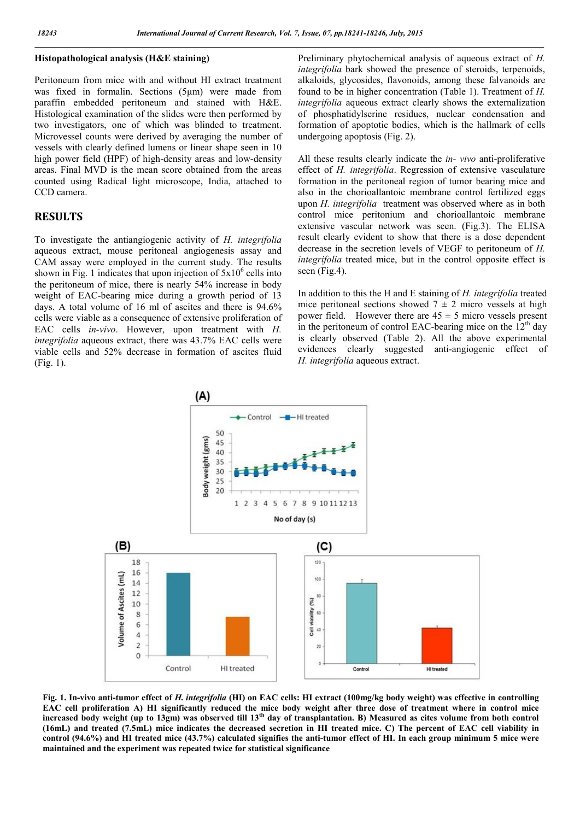### Histopathological analysis (H&E staining)

Peritoneum from mice with and without HI extract treatment was fixed in formalin. Sections (5μm) were made from paraffin embedded peritoneum and stained with H&E. Histological examination of the slides were then performed by two investigators, one of which was blinded to treatment. Microvessel counts were derived by averaging the number of vessels with clearly defined lumens or linear shape seen in 10 high power field (HPF) of high-density areas and low-density areas. Final MVD is the mean score obtained from the areas counted using Radical light microscope, India, attached to CCD camera.

### RESULTS

To investigate the antiangiogenic activity of *H. integrifolia* aqueous extract, mouse peritoneal angiogenesis assay and CAM assay were employed in the current study. The results shown in Fig. 1 indicates that upon injection of  $5x10^6$  cells into the peritoneum of mice, there is nearly 54% increase in body weight of EAC-bearing mice during a growth period of 13 days. A total volume of 16 ml of ascites and there is 94.6% cells were viable as a consequence of extensive proliferation of EAC cells *in-vivo*. However, upon treatment with *H. integrifolia* aqueous extract, there was 43.7% EAC cells were viable cells and 52% decrease in formation of ascites fluid (Fig. 1).

Preliminary phytochemical analysis of aqueous extract of *H. integrifolia* bark showed the presence of steroids, terpenoids, alkaloids, glycosides, flavonoids, among these falvanoids are found to be in higher concentration (Table 1). Treatment of *H. integrifolia* aqueous extract clearly shows the externalization of phosphatidylserine residues, nuclear condensation and formation of apoptotic bodies, which is the hallmark of cells undergoing apoptosis (Fig. 2).

All these results clearly indicate the *in- vivo* anti-proliferative effect of *H. integrifolia*. Regression of extensive vasculature formation in the peritoneal region of tumor bearing mice and also in the chorioallantoic membrane control fertilized eggs upon *H. integrifolia* treatment was observed where as in both control mice peritonium and chorioallantoic membrane extensive vascular network was seen. (Fig.3). The ELISA result clearly evident to show that there is a dose dependent decrease in the secretion levels of VEGF to peritoneum of *H. integrifolia* treated mice, but in the control opposite effect is seen (Fig.4).

In addition to this the H and E staining of *H. integrifolia* treated mice peritoneal sections showed  $7 \pm 2$  micro vessels at high power field. However there are  $45 \pm 5$  micro vessels present in the peritoneum of control EAC-bearing mice on the  $12<sup>th</sup>$  day is clearly observed (Table 2). All the above experimental evidences clearly suggested anti-angiogenic effect of *H. integrifolia* aqueous extract.



Fig. 1. In-vivo anti-tumor effect of *H. integrifolia* (HI) on EAC cells: HI extract (100mg/kg body weight) was effective in controlling EAC cell proliferation A) HI significantly reduced the mice body weight after three dose of treatment where in control mice increased body weight (up to 13gm) was observed till  $13<sup>th</sup>$  day of transplantation. B) Measured as cites volume from both control (16mL) and treated (7.5mL) mice indicates the decreased secretion in HI treated mice. C) The percent of EAC cell viability in control (94.6%) and HI treated mice (43.7%) calculated signifies the anti-tumor effect of HI. In each group minimum 5 mice were maintained and the experiment was repeated twice for statistical significance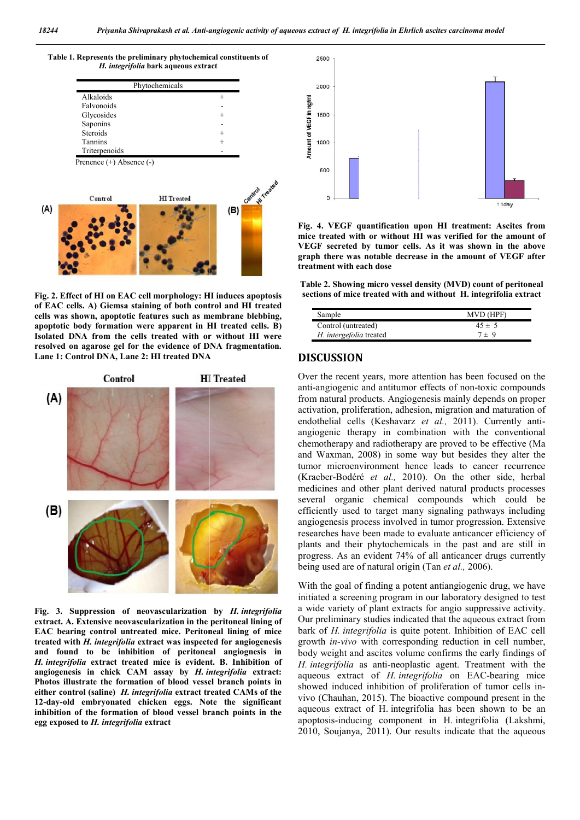

Fig. 2. Effect of HI on EAC cell morphology: HI induces apoptosis of EAC cells. A) Giemsa staining of both control and HI treated cells was shown, apoptotic features such as membrane blebbing, apoptotic body formation were apparent in HI treated cells. B) Isolated DNA from the cells treated with or without HI were resolved on agarose gel for the evidence of DNA fragmentation. Lane 1: Control DNA, Lane 2: HI treated DNA



Fig. 3. Suppression of neovascularization by *H. integrifolia* extract. A. Extensive neovascularization in the peritoneal lining of EAC bearing control untreated mice. Peritoneal lining of mice treated with *H. integrifolia* extract was inspected for angiogenesis and found to be inhibition of peritoneal angiognesis in *H. integrifolia* extract treated mice is evident. B. Inhibition of angiogenesis in chick CAM assay by *H. integrifolia* extract: Photos illustrate the formation of blood vessel branch points in either control (saline) *H. integrifolia* extract treated CAMs of the 12-day-old embryonated chicken eggs. Note the significant inhibition of the formation of blood vessel branch points in the egg exposed to *H. integrifolia* extract



mice treated with or without HI was verified for the amount of VEGF secreted by tumor cells. As it was shown in the above graph there was notable decrease in the amount of VEGF after treatment with each dose ig. 4. VEGF quantification upon HI treatment: Ascites from<br>icce treated with or without HI was verified for the amount (<br>EGF secreted by tumor cells. As it was shown in the abov<br>raph there was notable decrease in the amoun

Table 2. Showing micro vessel density (MVD) count of peritoneal sections of mice treated with and without H. integrifolia extract

| Sample                  | MVD (HPF)  |
|-------------------------|------------|
| Control (untreated)     | $45 \pm 5$ |
| H. intergefolia treated | $7 \pm 9$  |

### DISCUSSION

Over the recent years, more attention has been focused on the anti-angiogenic and antitumor effects of non-toxic compounds from natural products. Angiogenesis mainly depends on proper activation, proliferation, adhesion, migration and maturation of endothelial cells (Keshavarz et al., 2011). Currently antiangiogenic therapy in combination with the conventional chemotherapy and radiotherapy are proved to be effective (Ma and Waxman, 2008) in some way but besides they alter the tumor microenvironment hence leads to cancer recurrence (Kraeber-Bodéré *et al.,* 2010). On the other side, herbal medicines and other plant derived natural products processes several organic chemical compounds which could be efficiently used to target many signaling pathways including angiogenesis process involved in tumor progression. researches have been made to evaluate anticancer efficiency of plants and their phytochemicals in the past and are still in progress. As an evident 74% of all anticancer drugs currently being used are of natural origin (Tan et al., 2006). from natural products. Angiogenesis mainly depends on proper activation, proliferation, adhesion, migration and maturation of endothelial cells (Keshavarz *et al.*, 2011). Currently antiaan, 2008) in some way but besides they alter the roenvironment hence leads to cancer recurrence lodéré *et al.*, 2010). On the other side, herbal and other plant derived natural products processes reganic chemical compou ches have been made to evaluate anticancer<br>and their phytochemicals in the past an<br>sss. As an evident 74% of all anticancer dr<br>used are of natural origin (Tan *et al.*, 2006). *mateurs extinct of H. integriginia in Ehrlich societs curvinomu model*<br>  $\frac{2}{3}$ <br>  $\frac{2}{3}$ <br>  $\frac{2}{3}$ <br>  $\frac{2}{3}$ <br>  $\frac{2}{3}$ <br>  $\frac{2}{3}$ <br>  $\frac{2}{3}$ <br>  $\frac{2}{3}$ <br>  $\frac{2}{3}$ <br>  $\frac{2}{3}$ <br>  $\frac{2}{3}$ <br>  $\frac{2}{3}$ <br>  $\frac{2}{3}$ <br>  $\frac{2$ 

With the goal of finding a potent antiangiogenic drug, we have initiated a screening program in our laboratory designed to test a wide variety of plant extracts for angio suppressive activity. Our preliminary studies indicated that the aqueous extract from bark of *H. integrifolia* is quite potent. Inhibition of EAC cell growth *in-vivo* with corresponding reduction in cell number, body weight and ascites volume confirms the early findings of *H. integrifolia* as anti-neoplastic agent. Treatment with the aqueous extract of *H. integrifolia* on EAC-bearing mice showed induced inhibition of proliferation of tumor cells invivo (Chauhan, 2015). The bioactive compound present in the vivo (Chauhan, 2015). The bioactive compound present in the aqueous extract of H. integrifolia has been shown to be an apoptosis-inducing component in H. integrifolia (Lakshmi, 2010, Soujanya, 2011). Our results indicate that the aqueous With the goal of finding a potent antiangiogenic drug, we have initiated a screening program in our laboratory designed to test a wide variety of plant extracts for angio suppressive activity. Our preliminary studies indi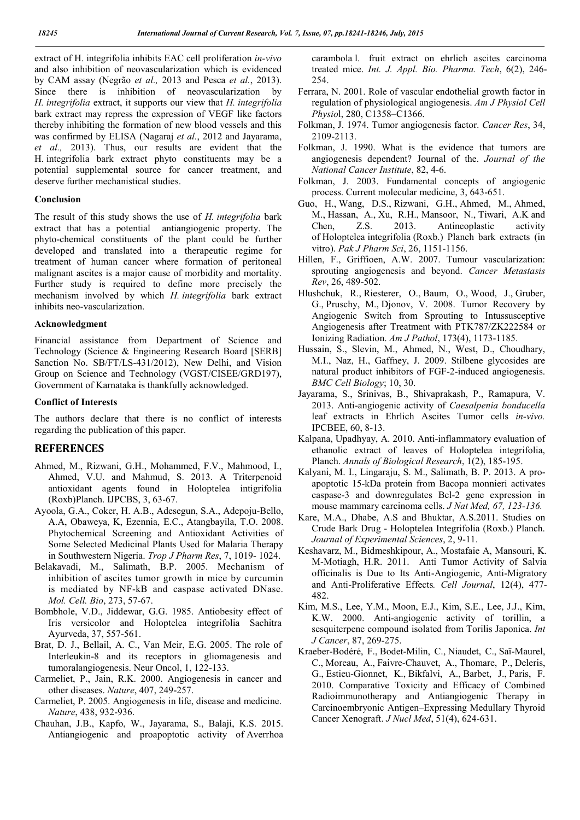extract of H. integrifolia inhibits EAC cell proliferation *in-vivo* and also inhibition of neovascularization which is evidenced by CAM assay (Negrão *et al.,* 2013 and Pesca *et al.*, 2013). Since there is inhibition of neovascularization by *H. integrifolia* extract, it supports our view that *H. integrifolia* bark extract may repress the expression of VEGF like factors thereby inhibiting the formation of new blood vessels and this was confirmed by ELISA (Nagaraj *et al.*, 2012 and Jayarama, *et al.,* 2013). Thus, our results are evident that the H. integrifolia bark extract phyto constituents may be a potential supplemental source for cancer treatment, and deserve further mechanistical studies.

### Conclusion

The result of this study shows the use of *H. integrifolia* bark extract that has a potential antiangiogenic property. The phyto-chemical constituents of the plant could be further developed and translated into a therapeutic regime for treatment of human cancer where formation of peritoneal malignant ascites is a major cause of morbidity and mortality. Further study is required to define more precisely the mechanism involved by which *H. integrifolia* bark extract inhibits neo-vascularization.

#### Acknowledgment

Financial assistance from Department of Science and Technology (Science & Engineering Research Board [SERB] Sanction No. SB/FT/LS-431/2012), New Delhi, and Vision Group on Science and Technology (VGST/CISEE/GRD197), Government of Karnataka is thankfully acknowledged.

#### Conflict of Interests

The authors declare that there is no conflict of interests regarding the publication of this paper.

### **REFERENCES**

- Ahmed, M., Rizwani, G.H., Mohammed, F.V., Mahmood, I., Ahmed, V.U. and Mahmud, S. 2013. A Triterpenoid antioxidant agents found in Holoptelea intigrifolia (Roxb)Planch. IJPCBS, 3, 63-67.
- Ayoola, G.A., Coker, H. A.B., Adesegun, S.A., Adepoju-Bello, A.A, Obaweya, K, Ezennia, E.C., Atangbayila, T.O. 2008. Phytochemical Screening and Antioxidant Activities of Some Selected Medicinal Plants Used for Malaria Therapy in Southwestern Nigeria. *Trop J Pharm Res*, 7, 1019- 1024.
- Belakavadi, M., Salimath, B.P. 2005. Mechanism of inhibition of ascites tumor growth in mice by curcumin is mediated by NF-kB and caspase activated DNase. *Mol. Cell. Bio*, 273, 57-67.
- Bombhole, V.D., Jiddewar, G.G. 1985. Antiobesity effect of Iris versicolor and Holoptelea integrifolia Sachitra Ayurveda, 37, 557-561.
- Brat, D. J., Bellail, A. C., Van Meir, E.G. 2005. The role of Interleukin-8 and its receptors in gliomagenesis and tumoralangiogenesis. Neur Oncol, 1, 122-133.
- Carmeliet, P., Jain, R.K. 2000. Angiogenesis in cancer and other diseases. *Nature*, 407, 249-257.
- Carmeliet, P. 2005. Angiogenesis in life, disease and medicine. *Nature*, 438, 932-936.
- Chauhan, J.B., Kapfo, W., Jayarama, S., Balaji, K.S. 2015. Antiangiogenic and proapoptotic activity of Averrhoa

carambola l. fruit extract on ehrlich ascites carcinoma treated mice. *Int. J. Appl. Bio. Pharma. Tech*, 6(2), 246- 254.

- Ferrara, N. 2001. Role of vascular endothelial growth factor in regulation of physiological angiogenesis. *Am J Physiol Cell Physio*l, 280, C1358–C1366.
- Folkman, J. 1974. Tumor angiogenesis factor. *Cancer Res*, 34, 2109-2113.
- Folkman, J. 1990. What is the evidence that tumors are angiogenesis dependent? Journal of the. *Journal of the National Cancer Institute*, 82, 4-6.
- Folkman, J. 2003. Fundamental concepts of angiogenic process. Current molecular medicine, 3, 643-651.
- Guo, H., Wang, D.S., Rizwani, G.H., Ahmed, M., Ahmed, M., Hassan, A., Xu, R.H., Mansoor, N., Tiwari, A.K and Chen, Z.S. 2013. Antineoplastic activity of Holoptelea integrifolia (Roxb.) Planch bark extracts (in vitro). *Pak J Pharm Sci*, 26, 1151-1156.
- Hillen, F., Griffioen, A.W. 2007. Tumour vascularization: sprouting angiogenesis and beyond. *Cancer Metastasis Rev*, 26, 489-502.
- Hlushchuk, R., Riesterer, O., Baum, O., Wood, J., Gruber, G., Pruschy, M., Djonov, V. 2008. Tumor Recovery by Angiogenic Switch from Sprouting to Intussusceptive Angiogenesis after Treatment with PTK787/ZK222584 or Ionizing Radiation. *Am J Pathol*, 173(4), 1173-1185.
- Hussain, S., Slevin, M., Ahmed, N., West, D., Choudhary, M.I., Naz, H., Gaffney, J. 2009. Stilbene glycosides are natural product inhibitors of FGF-2-induced angiogenesis. *BMC Cell Biology*; 10, 30.
- Jayarama, S., Srinivas, B., Shivaprakash, P., Ramapura, V. 2013. Anti-angiogenic activity of *Caesalpenia bonducella*  leaf extracts in Ehrlich Ascites Tumor cells *in-vivo.* IPCBEE, 60, 8-13.
- Kalpana, Upadhyay, A. 2010. Anti-inflammatory evaluation of ethanolic extract of leaves of Holoptelea integrifolia, Planch. *Annals of Biological Research*, 1(2), 185-195.
- Kalyani, M. I., Lingaraju, S. M., Salimath, B. P. 2013. A proapoptotic 15-kDa protein from Bacopa monnieri activates caspase-3 and downregulates Bcl-2 gene expression in mouse mammary carcinoma cells. *J Nat Med, 67, 123-136.*
- Kare, M.A., Dhabe, A.S and Bhuktar, A.S.2011. Studies on Crude Bark Drug - Holoptelea Integrifolia (Roxb.) Planch. *Journal of Experimental Sciences*, 2, 9-11.
- Keshavarz, M., Bidmeshkipour, A., Mostafaie A, Mansouri, K. M-Motiagh, H.R. 2011. Anti Tumor Activity of Salvia officinalis is Due to Its Anti-Angiogenic, Anti-Migratory and Anti-Proliferative Effects*. Cell Journal*, 12(4), 477- 482.
- Kim, M.S., Lee, Y.M., Moon, E.J., Kim, S.E., Lee, J.J., Kim, K.W. 2000. Anti-angiogenic activity of torillin, a sesquiterpene compound isolated from Torilis Japonica. *Int J Cancer*, 87, 269-275.
- Kraeber-Bodéré, F., Bodet-Milin, C., Niaudet, C., Saï-Maurel, C., Moreau, A., Faivre-Chauvet, A., Thomare, P., Deleris, G., Estieu-Gionnet, K., Bikfalvi, A., Barbet, J., Paris, F. 2010. Comparative Toxicity and Efficacy of Combined Radioimmunotherapy and Antiangiogenic Therapy in Carcinoembryonic Antigen–Expressing Medullary Thyroid Cancer Xenograft. *J Nucl Med*, 51(4), 624-631.